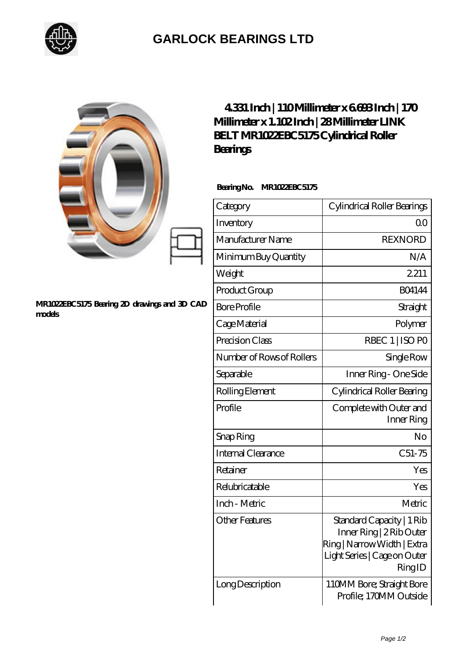

## **[GARLOCK BEARINGS LTD](https://m.letterstopriests.com)**

|                                                        | 4331 Inch   110Millimeter x 6693 Inch   170<br>Millimeter x 1. 102Inch   28Millimeter LINK<br>BELT MR1022EBC5175Cylindrical Roller<br><b>Bearings</b> |                                                                                                                                |
|--------------------------------------------------------|-------------------------------------------------------------------------------------------------------------------------------------------------------|--------------------------------------------------------------------------------------------------------------------------------|
|                                                        | BearingNo.<br>MR1022EBC5175                                                                                                                           |                                                                                                                                |
|                                                        | Category                                                                                                                                              | Cylindrical Roller Bearings                                                                                                    |
|                                                        | Inventory                                                                                                                                             | QO                                                                                                                             |
|                                                        | Manufacturer Name                                                                                                                                     | <b>REXNORD</b>                                                                                                                 |
|                                                        | Minimum Buy Quantity                                                                                                                                  | N/A                                                                                                                            |
|                                                        | Weight                                                                                                                                                | 2211                                                                                                                           |
|                                                        | Product Group                                                                                                                                         | <b>BO4144</b>                                                                                                                  |
| MR1022EBC5175 Bearing 2D drawings and 3D CAD<br>models | <b>Bore Profile</b>                                                                                                                                   | Straight                                                                                                                       |
|                                                        | Cage Material                                                                                                                                         | Polymer                                                                                                                        |
|                                                        | Precision Class                                                                                                                                       | RBEC 1   ISO PO                                                                                                                |
|                                                        | Number of Rows of Rollers                                                                                                                             | Single Row                                                                                                                     |
|                                                        | Separable                                                                                                                                             | Inner Ring - One Side                                                                                                          |
|                                                        | Rolling Element                                                                                                                                       | Cylindrical Roller Bearing                                                                                                     |
|                                                        | Profile                                                                                                                                               | Complete with Outer and<br>Inner Ring                                                                                          |
|                                                        | Snap Ring                                                                                                                                             | No                                                                                                                             |
|                                                        | Internal Clearance                                                                                                                                    | $C51-75$                                                                                                                       |
|                                                        | Retainer                                                                                                                                              | Yes                                                                                                                            |
|                                                        | Relubricatable                                                                                                                                        | Yes                                                                                                                            |
|                                                        | Inch - Metric                                                                                                                                         | Metric                                                                                                                         |
|                                                        | <b>Other Features</b>                                                                                                                                 | Standard Capacity   1 Rib<br>Inner Ring   2 Rib Outer<br>Ring   Narrow Width   Extra<br>Light Series   Cage on Outer<br>RingID |
|                                                        | Long Description                                                                                                                                      | 110MM Bore; Straight Bore<br>Profile; 170MM Outside                                                                            |